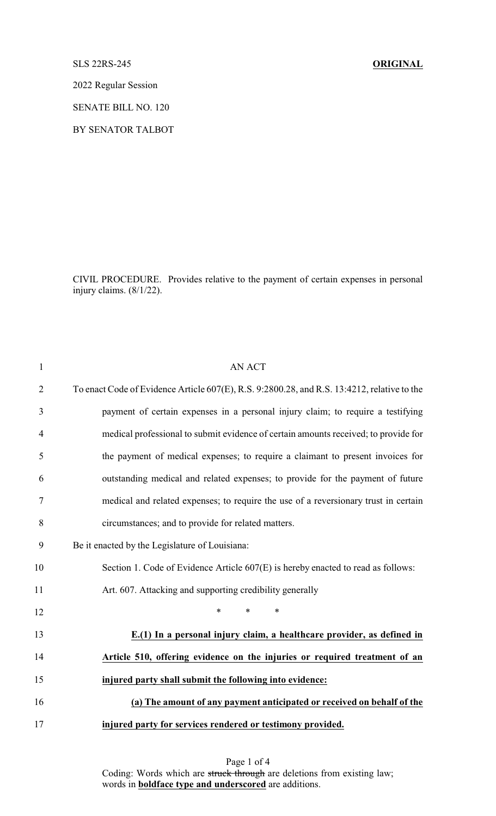## SLS 22RS-245 **ORIGINAL**

2022 Regular Session

SENATE BILL NO. 120

BY SENATOR TALBOT

CIVIL PROCEDURE. Provides relative to the payment of certain expenses in personal injury claims. (8/1/22).

| $\mathbf{1}$   | <b>AN ACT</b>                                                                               |
|----------------|---------------------------------------------------------------------------------------------|
| $\overline{2}$ | To enact Code of Evidence Article 607(E), R.S. 9:2800.28, and R.S. 13:4212, relative to the |
| 3              | payment of certain expenses in a personal injury claim; to require a testifying             |
| $\overline{4}$ | medical professional to submit evidence of certain amounts received; to provide for         |
| 5              | the payment of medical expenses; to require a claimant to present invoices for              |
| 6              | outstanding medical and related expenses; to provide for the payment of future              |
| 7              | medical and related expenses; to require the use of a reversionary trust in certain         |
| 8              | circumstances; and to provide for related matters.                                          |
| 9              | Be it enacted by the Legislature of Louisiana:                                              |
| 10             | Section 1. Code of Evidence Article 607(E) is hereby enacted to read as follows:            |
| 11             | Art. 607. Attacking and supporting credibility generally                                    |
| 12             | *<br>$\ast$<br>$\ast$                                                                       |
| 13             | E.(1) In a personal injury claim, a healthcare provider, as defined in                      |
| 14             | Article 510, offering evidence on the injuries or required treatment of an                  |
| 15             | injured party shall submit the following into evidence:                                     |
| 16             | (a) The amount of any payment anticipated or received on behalf of the                      |
| 17             | injured party for services rendered or testimony provided.                                  |

Page 1 of 4 Coding: Words which are struck through are deletions from existing law; words in **boldface type and underscored** are additions.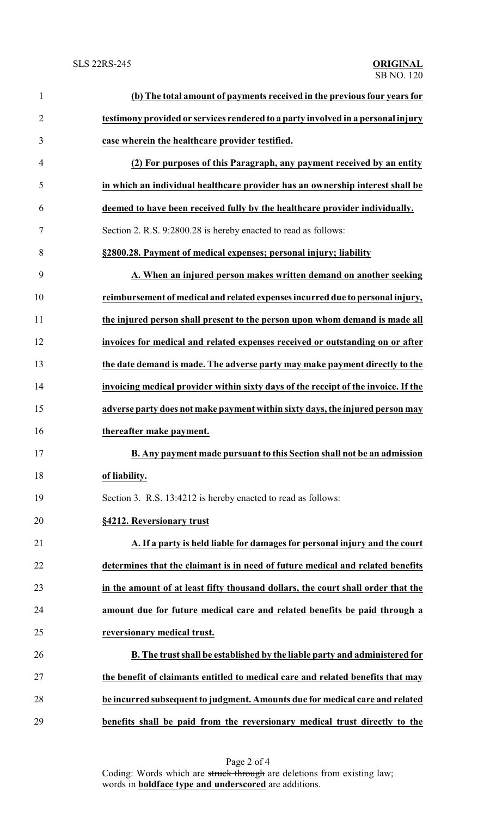| $\mathbf{1}$   | (b) The total amount of payments received in the previous four years for           |
|----------------|------------------------------------------------------------------------------------|
| $\overline{2}$ | testimony provided or services rendered to a party involved in a personal injury   |
| 3              | case wherein the healthcare provider testified.                                    |
| 4              | (2) For purposes of this Paragraph, any payment received by an entity              |
| 5              | in which an individual healthcare provider has an ownership interest shall be      |
| 6              | deemed to have been received fully by the healthcare provider individually.        |
| 7              | Section 2. R.S. 9:2800.28 is hereby enacted to read as follows:                    |
| 8              | §2800.28. Payment of medical expenses; personal injury; liability                  |
| 9              | A. When an injured person makes written demand on another seeking                  |
| 10             | reimbursement of medical and related expenses incurred due to personal injury,     |
| 11             | the injured person shall present to the person upon whom demand is made all        |
| 12             | invoices for medical and related expenses received or outstanding on or after      |
| 13             | the date demand is made. The adverse party may make payment directly to the        |
| 14             | invoicing medical provider within sixty days of the receipt of the invoice. If the |
| 15             | adverse party does not make payment within sixty days, the injured person may      |
| 16             | thereafter make payment.                                                           |
| 17             | B. Any payment made pursuant to this Section shall not be an admission             |
| 18             | of liability.                                                                      |
| 19             | Section 3. R.S. 13:4212 is hereby enacted to read as follows:                      |
| 20             | §4212. Reversionary trust                                                          |
| 21             | A. If a party is held liable for damages for personal injury and the court         |
| 22             | determines that the claimant is in need of future medical and related benefits     |
| 23             | in the amount of at least fifty thousand dollars, the court shall order that the   |
| 24             | amount due for future medical care and related benefits be paid through a          |
| 25             | reversionary medical trust.                                                        |
| 26             | B. The trust shall be established by the liable party and administered for         |
| 27             | the benefit of claimants entitled to medical care and related benefits that may    |
| 28             | be incurred subsequent to judgment. Amounts due for medical care and related       |
| 29             | benefits shall be paid from the reversionary medical trust directly to the         |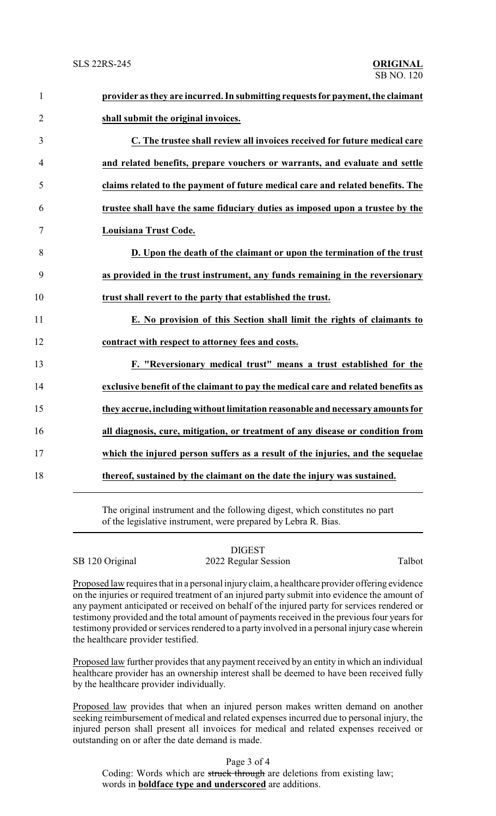| $\mathbf{1}$   | provider as they are incurred. In submitting requests for payment, the claimant   |
|----------------|-----------------------------------------------------------------------------------|
| $\overline{2}$ | shall submit the original invoices.                                               |
| 3              | C. The trustee shall review all invoices received for future medical care         |
| $\overline{4}$ | and related benefits, prepare vouchers or warrants, and evaluate and settle       |
| 5              | claims related to the payment of future medical care and related benefits. The    |
| 6              | trustee shall have the same fiduciary duties as imposed upon a trustee by the     |
| $\tau$         | Louisiana Trust Code.                                                             |
| 8              | D. Upon the death of the claimant or upon the termination of the trust            |
| 9              | as provided in the trust instrument, any funds remaining in the reversionary      |
| 10             | trust shall revert to the party that established the trust.                       |
| 11             | E. No provision of this Section shall limit the rights of claimants to            |
| 12             | contract with respect to attorney fees and costs.                                 |
| 13             | F. "Reversionary medical trust" means a trust established for the                 |
| 14             | exclusive benefit of the claimant to pay the medical care and related benefits as |
| 15             | they accrue, including without limitation reasonable and necessary amounts for    |
| 16             | all diagnosis, cure, mitigation, or treatment of any disease or condition from    |
| 17             | which the injured person suffers as a result of the injuries, and the sequelae    |
| 18             | thereof, sustained by the claimant on the date the injury was sustained.          |
|                |                                                                                   |

The original instrument and the following digest, which constitutes no part of the legislative instrument, were prepared by Lebra R. Bias.

## DIGEST

SB 120 Original 2022 Regular Session Talbot

Proposed law requires that in a personal injuryclaim, a healthcare provider offering evidence on the injuries or required treatment of an injured party submit into evidence the amount of any payment anticipated or received on behalf of the injured party for services rendered or testimony provided and the total amount of payments received in the previous four years for testimony provided or services rendered to a party involved in a personal injury case wherein the healthcare provider testified.

Proposed law further provides that any payment received by an entity in which an individual healthcare provider has an ownership interest shall be deemed to have been received fully by the healthcare provider individually.

Proposed law provides that when an injured person makes written demand on another seeking reimbursement of medical and related expenses incurred due to personal injury, the injured person shall present all invoices for medical and related expenses received or outstanding on or after the date demand is made.

Page 3 of 4

Coding: Words which are struck through are deletions from existing law; words in **boldface type and underscored** are additions.